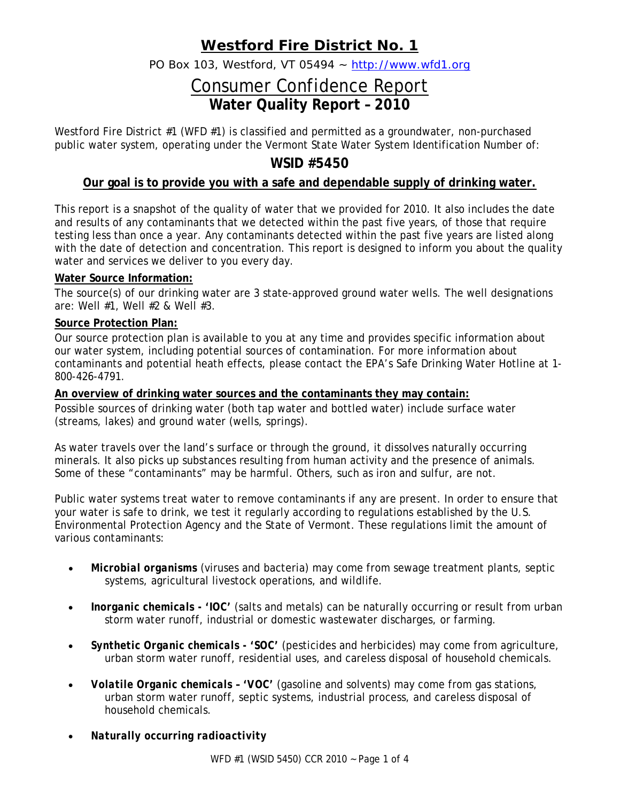## **Westford Fire District No. 1**

PO Box 103, Westford, VT 05494 ~ http://www.wfd1.org

# Consumer Confidence Report **Water Quality Report – 2010**

Westford Fire District #1 (WFD #1) is classified and permitted as a groundwater, non-purchased public water system, operating under the Vermont State Water System Identification Number of:

### **WSID #5450**

### **Our goal is to provide you with a safe and dependable supply of drinking water.**

This report is a snapshot of the quality of water that we provided for 2010. It also includes the date and results of any contaminants that we detected within the past five years, of those that require testing less than once a year. Any contaminants detected within the past five years are listed along with the date of detection and concentration. This report is designed to inform you about the quality water and services we deliver to you every day.

#### **Water Source Information:**

The source(s) of our drinking water are 3 state-approved ground water wells. The well designations are: Well #1, Well #2 & Well #3.

#### **Source Protection Plan:**

Our source protection plan is available to you at any time and provides specific information about our water system, including potential sources of contamination. For more information about contaminants and potential heath effects, please contact the EPA's Safe Drinking Water Hotline at 1- 800-426-4791.

#### **An overview of drinking water sources and the contaminants they may contain:**

Possible sources of drinking water (both tap water and bottled water) include surface water (streams, lakes) and ground water (wells, springs).

As water travels over the land's surface or through the ground, it dissolves naturally occurring minerals. It also picks up substances resulting from human activity and the presence of animals. Some of these "contaminants" may be harmful. Others, such as iron and sulfur, are not.

Public water systems treat water to remove contaminants if any are present. In order to ensure that your water is safe to drink, we test it regularly according to regulations established by the U.S. Environmental Protection Agency and the State of Vermont. These regulations limit the amount of various contaminants:

- *Microbial organisms* (viruses and bacteria) may come from sewage treatment plants, septic systems, agricultural livestock operations, and wildlife.
- *Inorganic chemicals 'IOC'* (salts and metals) can be naturally occurring or result from urban storm water runoff, industrial or domestic wastewater discharges, or farming.
- *Synthetic Organic chemicals 'SOC'* (pesticides and herbicides) may come from agriculture, urban storm water runoff, residential uses, and careless disposal of household chemicals.
- *Volatile Organic chemicals 'VOC'* (gasoline and solvents) may come from gas stations, urban storm water runoff, septic systems, industrial process, and careless disposal of household chemicals.
- *Naturally occurring radioactivity*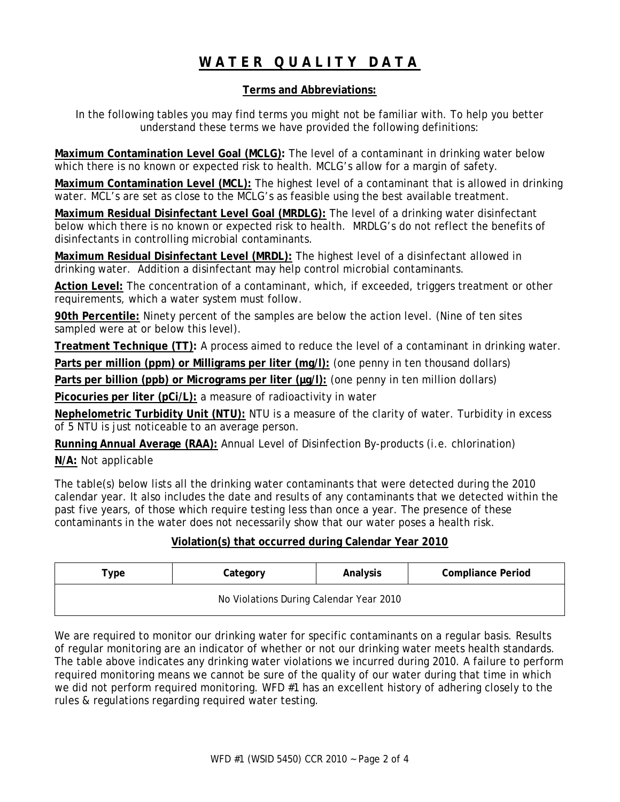## **WATER QUALITY DATA**

#### **Terms and Abbreviations:**

In the following tables you may find terms you might not be familiar with. To help you better understand these terms we have provided the following definitions:

**Maximum Contamination Level Goal (MCLG):** The level of a contaminant in drinking water below which there is no known or expected risk to health. MCLG's allow for a margin of safety.

**Maximum Contamination Level (MCL):** The highest level of a contaminant that is allowed in drinking water. MCL's are set as close to the MCLG's as feasible using the best available treatment.

**Maximum Residual Disinfectant Level Goal (MRDLG):** The level of a drinking water disinfectant below which there is no known or expected risk to health. MRDLG's do not reflect the benefits of disinfectants in controlling microbial contaminants.

**Maximum Residual Disinfectant Level (MRDL):** The highest level of a disinfectant allowed in drinking water. Addition a disinfectant may help control microbial contaminants.

**Action Level:** The concentration of a contaminant, which, if exceeded, triggers treatment or other requirements, which a water system must follow.

**90th Percentile:** Ninety percent of the samples are below the action level. (Nine of ten sites sampled were at or below this level).

**Treatment Technique (TT):** A process aimed to reduce the level of a contaminant in drinking water.

**Parts per million (ppm) or Milligrams per liter (mg/l):** (one penny in ten thousand dollars)

Parts per billion (ppb) or Micrograms per liter ( $\mu$ g/l): (one penny in ten million dollars)

**Picocuries per liter (pCi/L):** a measure of radioactivity in water

**Nephelometric Turbidity Unit (NTU):** NTU is a measure of the clarity of water. Turbidity in excess of 5 NTU is just noticeable to an average person.

**Running Annual Average (RAA):** Annual Level of Disinfection By-products (i.e. chlorination)

**N/A:** Not applicable

The table(s) below lists all the drinking water contaminants that were detected during the 2010 calendar year. It also includes the date and results of any contaminants that we detected within the past five years, of those which require testing less than once a year. The presence of these contaminants in the water does not necessarily show that our water poses a health risk.

#### **Violation(s) that occurred during Calendar Year 2010**

| $\tau$ vpe                              | Category | Analysis | <b>Compliance Period</b> |  |  |  |  |  |
|-----------------------------------------|----------|----------|--------------------------|--|--|--|--|--|
| No Violations During Calendar Year 2010 |          |          |                          |  |  |  |  |  |

We are required to monitor our drinking water for specific contaminants on a regular basis. Results of regular monitoring are an indicator of whether or not our drinking water meets health standards. The table above indicates any drinking water violations we incurred during 2010. A failure to perform required monitoring means we cannot be sure of the quality of our water during that time in which we did not perform required monitoring. WFD #1 has an excellent history of adhering closely to the rules & regulations regarding required water testing.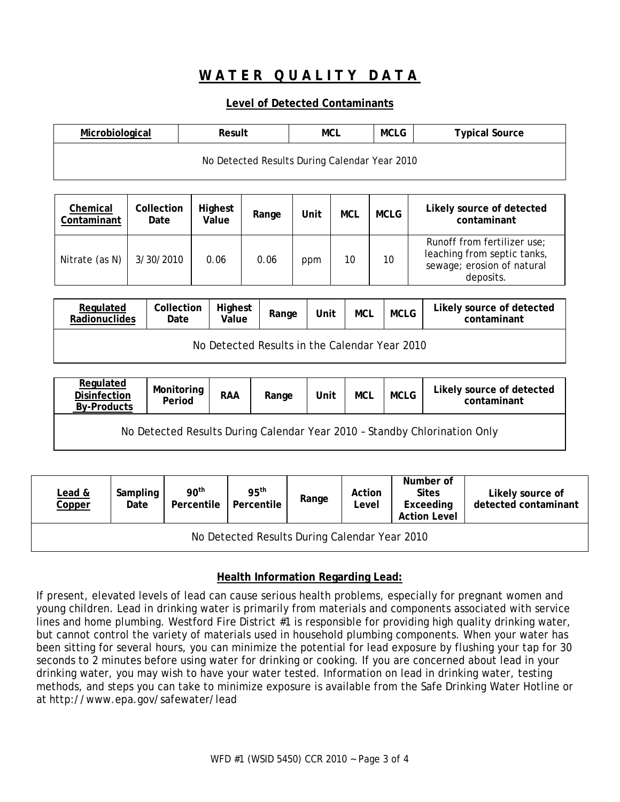### **WATER QUALITY DATA**

#### **Level of Detected Contaminants**

| Microbiological | Result                                        | MCLG<br>MCL |  | <b>Typical Source</b> |  |
|-----------------|-----------------------------------------------|-------------|--|-----------------------|--|
|                 | No Detected Results During Calendar Year 2010 |             |  |                       |  |

| Chemical<br>Contaminant | Collection<br>Date | Highest<br>Value | Range | Unit | MCL | <b>MCLG</b> | Likely source of detected<br>contaminant                                                              |
|-------------------------|--------------------|------------------|-------|------|-----|-------------|-------------------------------------------------------------------------------------------------------|
| Nitrate (as N)          | 3/30/2010          | 0.06             | 0.06  | ppm  | 10  | 10          | Runoff from fertilizer use;<br>leaching from septic tanks,<br>sewage; erosion of natural<br>deposits. |

| Regulated<br>Radionuclides                    | Collection<br>Date | <b>Highest</b><br>Value | Range | Unit | MCL | <b>MCLG</b> | Likely source of detected<br>contaminant |  |  |
|-----------------------------------------------|--------------------|-------------------------|-------|------|-----|-------------|------------------------------------------|--|--|
| No Detected Results in the Calendar Year 2010 |                    |                         |       |      |     |             |                                          |  |  |

| Regulated<br><b>Disinfection</b><br><b>By-Products</b>                    | Monitoring<br>Period | <b>RAA</b> | Range | Unit | <b>MCL</b> | <b>MCLG</b> | Likely source of detected<br>contaminant |  |
|---------------------------------------------------------------------------|----------------------|------------|-------|------|------------|-------------|------------------------------------------|--|
| No Detected Results During Calendar Year 2010 - Standby Chlorination Only |                      |            |       |      |            |             |                                          |  |

| Lead &<br>Copper                              | Sampling<br>Date | 90 <sup>th</sup><br>Percentile | 95 <sup>th</sup><br>Percentile | Range | Action<br>Level | Number of<br><b>Sites</b><br>Exceeding<br><b>Action Level</b> | Likely source of<br>detected contaminant |  |  |
|-----------------------------------------------|------------------|--------------------------------|--------------------------------|-------|-----------------|---------------------------------------------------------------|------------------------------------------|--|--|
| No Detected Results During Calendar Year 2010 |                  |                                |                                |       |                 |                                                               |                                          |  |  |

#### **Health Information Regarding Lead:**

If present, elevated levels of lead can cause serious health problems, especially for pregnant women and young children. Lead in drinking water is primarily from materials and components associated with service lines and home plumbing. Westford Fire District #1 is responsible for providing high quality drinking water, but cannot control the variety of materials used in household plumbing components. When your water has been sitting for several hours, you can minimize the potential for lead exposure by flushing your tap for 30 seconds to 2 minutes before using water for drinking or cooking. If you are concerned about lead in your drinking water, you may wish to have your water tested. Information on lead in drinking water, testing methods, and steps you can take to minimize exposure is available from the Safe Drinking Water Hotline or at <http://www.epa.gov/safewater/lead>